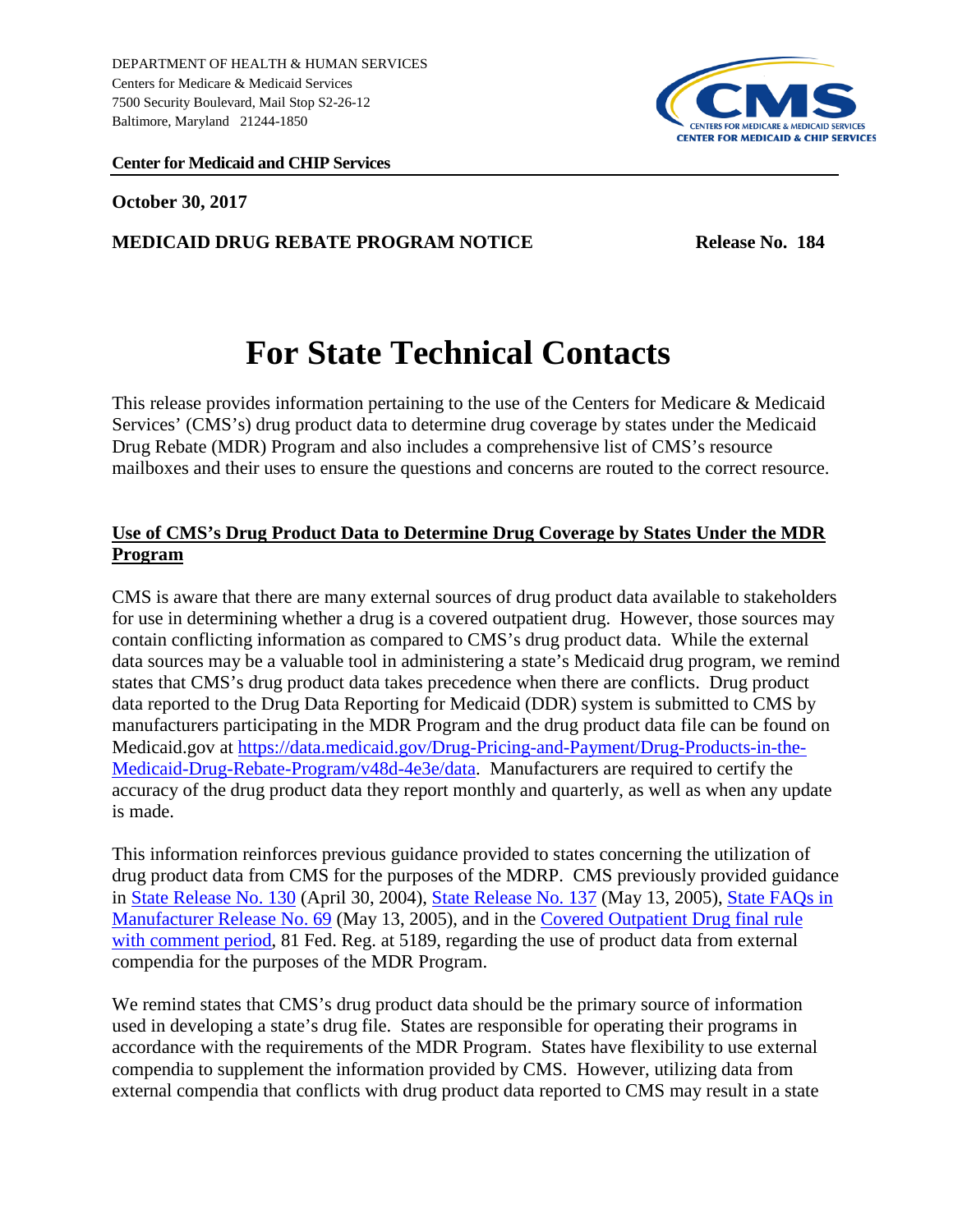

#### **Center for Medicaid and CHIP Services**

**October 30, 2017**

#### **MEDICAID DRUG REBATE PROGRAM NOTICE Release No. 184**

# **For State Technical Contacts**

This release provides information pertaining to the use of the Centers for Medicare & Medicaid Services' (CMS's) drug product data to determine drug coverage by states under the Medicaid Drug Rebate (MDR) Program and also includes a comprehensive list of CMS's resource mailboxes and their uses to ensure the questions and concerns are routed to the correct resource.

# **Use of CMS's Drug Product Data to Determine Drug Coverage by States Under the MDR Program**

CMS is aware that there are many external sources of drug product data available to stakeholders for use in determining whether a drug is a covered outpatient drug. However, those sources may contain conflicting information as compared to CMS's drug product data. While the external data sources may be a valuable tool in administering a state's Medicaid drug program, we remind states that CMS's drug product data takes precedence when there are conflicts. Drug product data reported to the Drug Data Reporting for Medicaid (DDR) system is submitted to CMS by manufacturers participating in the MDR Program and the drug product data file can be found on Medicaid.gov at [https://data.medicaid.gov/Drug-Pricing-and-Payment/Drug-Products-in-the-](https://data.medicaid.gov/Drug-Pricing-and-Payment/Drug-Products-in-the-Medicaid-Drug-Rebate-Program/v48d-4e3e/data)[Medicaid-Drug-Rebate-Program/v48d-4e3e/data.](https://data.medicaid.gov/Drug-Pricing-and-Payment/Drug-Products-in-the-Medicaid-Drug-Rebate-Program/v48d-4e3e/data) Manufacturers are required to certify the accuracy of the drug product data they report monthly and quarterly, as well as when any update is made.

This information reinforces previous guidance provided to states concerning the utilization of drug product data from CMS for the purposes of the MDRP. CMS previously provided guidance in [State Release No. 130](http://www.medicaid.gov/Medicaid-CHIP-Program-Information/By-Topics/Prescription-Drugs/Downloads/Rx-Releases/State-Releases/state-rel-130.pdf) (April 30, 2004), [State Release No.](https://www.medicaid.gov/Medicaid-CHIP-Program-Information/By-Topics/Prescription-Drugs/Downloads/Rx-Releases/State-Releases/state-rel-137.pdf) 137 (May 13, 2005), [State FAQs in](https://www.medicaid.gov/Medicaid-CHIP-Program-Information/By-Topics/Prescription-Drugs/Downloads/Rx-Releases/MFR-Releases/mfr-rel-069.pdf)  [Manufacturer Release No. 69](https://www.medicaid.gov/Medicaid-CHIP-Program-Information/By-Topics/Prescription-Drugs/Downloads/Rx-Releases/MFR-Releases/mfr-rel-069.pdf) (May 13, 2005), and in the [Covered Outpatient Drug final rule](https://www.gpo.gov/fdsys/pkg/FR-2016-02-01/pdf/2016-01274.pdf)  [with comment period,](https://www.gpo.gov/fdsys/pkg/FR-2016-02-01/pdf/2016-01274.pdf) 81 Fed. Reg. at 5189, regarding the use of product data from external compendia for the purposes of the MDR Program.

We remind states that CMS's drug product data should be the primary source of information used in developing a state's drug file. States are responsible for operating their programs in accordance with the requirements of the MDR Program. States have flexibility to use external compendia to supplement the information provided by CMS. However, utilizing data from external compendia that conflicts with drug product data reported to CMS may result in a state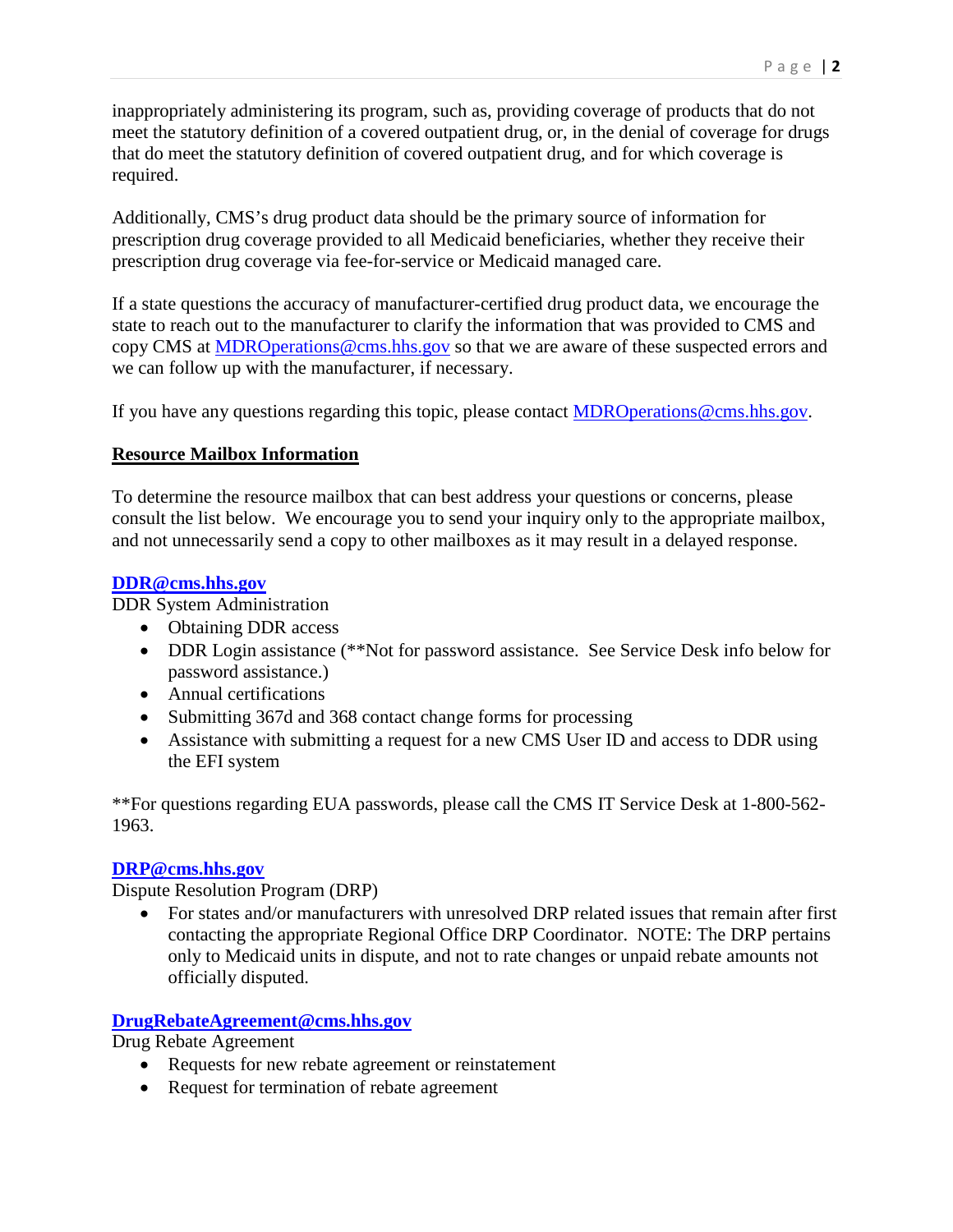inappropriately administering its program, such as, providing coverage of products that do not meet the statutory definition of a covered outpatient drug, or, in the denial of coverage for drugs that do meet the statutory definition of covered outpatient drug, and for which coverage is required.

Additionally, CMS's drug product data should be the primary source of information for prescription drug coverage provided to all Medicaid beneficiaries, whether they receive their prescription drug coverage via fee-for-service or Medicaid managed care.

If a state questions the accuracy of manufacturer-certified drug product data, we encourage the state to reach out to the manufacturer to clarify the information that was provided to CMS and copy CMS at [MDROperations@cms.hhs.gov](mailto:MDROperations@cms.hhs.gov) so that we are aware of these suspected errors and we can follow up with the manufacturer, if necessary.

If you have any questions regarding this topic, please contact **MDRO** perations @cms.hhs.gov.

# **Resource Mailbox Information**

To determine the resource mailbox that can best address your questions or concerns, please consult the list below. We encourage you to send your inquiry only to the appropriate mailbox, and not unnecessarily send a copy to other mailboxes as it may result in a delayed response.

#### **[DDR@cms.hhs.gov](mailto:DDR@cms.hhs.gov)**

DDR System Administration

- Obtaining DDR access
- DDR Login assistance (\*\*Not for password assistance. See Service Desk info below for password assistance.)
- Annual certifications
- Submitting 367d and 368 contact change forms for processing
- Assistance with submitting a request for a new CMS User ID and access to DDR using the EFI system

\*\*For questions regarding EUA passwords, please call the CMS IT Service Desk at 1-800-562- 1963.

# **[DRP@cms.hhs.gov](mailto:DRP@cms.hhs.gov)**

Dispute Resolution Program (DRP)

• For states and/or manufacturers with unresolved DRP related issues that remain after first contacting the appropriate Regional Office DRP Coordinator. NOTE: The DRP pertains only to Medicaid units in dispute, and not to rate changes or unpaid rebate amounts not officially disputed.

# **[DrugRebateAgreement@cms.hhs.gov](mailto:DrugRebateAgreement@cms.hhs.gov)**

Drug Rebate Agreement

- Requests for new rebate agreement or reinstatement
- Request for termination of rebate agreement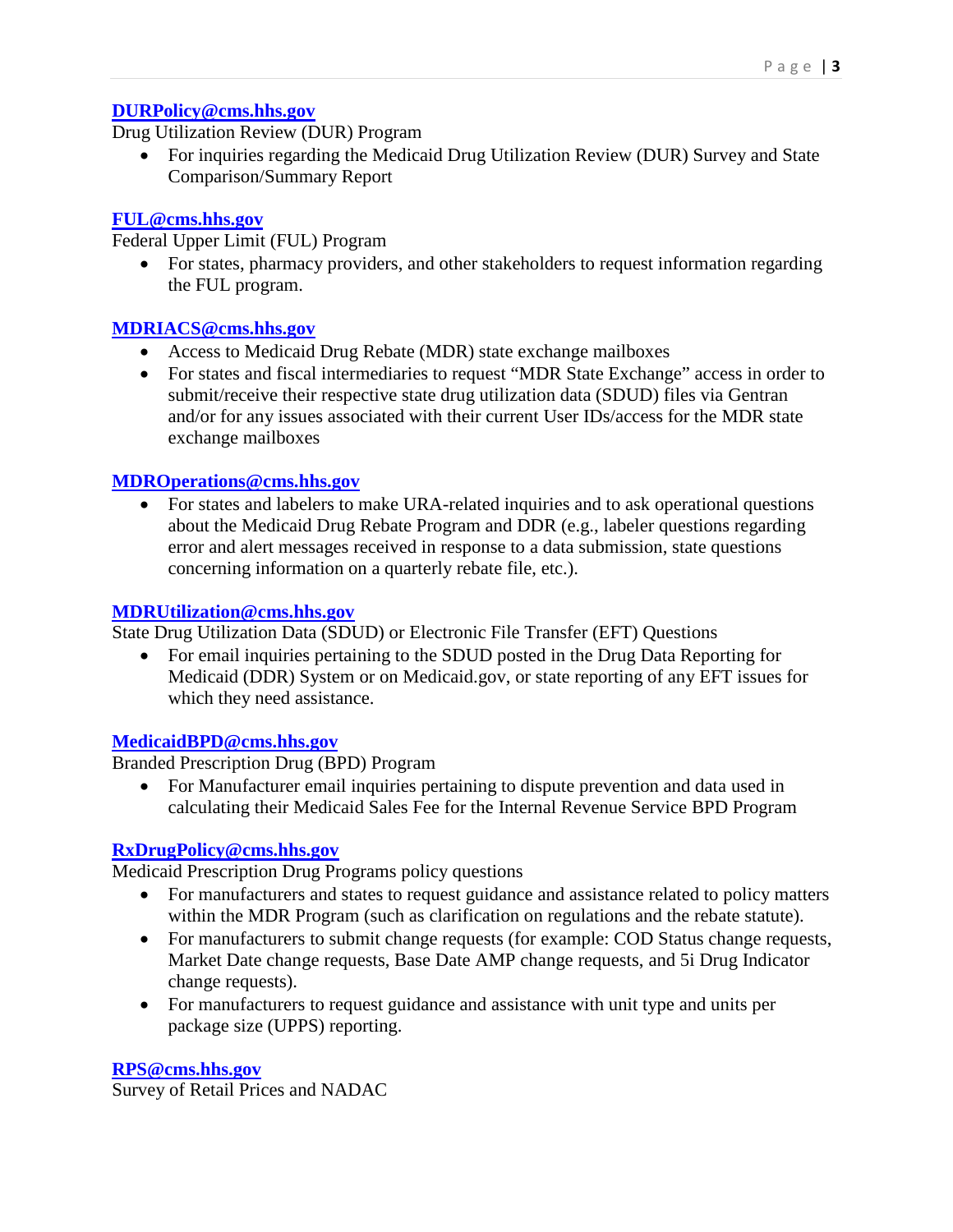#### **[DURPolicy@cms.hhs.gov](mailto:DURPolicy@cms.hhs.gov)**

Drug Utilization Review (DUR) Program

• For inquiries regarding the Medicaid Drug Utilization Review (DUR) Survey and State Comparison/Summary Report

#### **[FUL@cms.hhs.gov](mailto:FUL@cms.hhs.gov)**

Federal Upper Limit (FUL) Program

• For states, pharmacy providers, and other stakeholders to request information regarding the FUL program.

#### **[MDRIACS@cms.hhs.gov](mailto:MDRIACS@cms.hhs.gov)**

- Access to Medicaid Drug Rebate (MDR) state exchange mailboxes
- For states and fiscal intermediaries to request "MDR State Exchange" access in order to submit/receive their respective state drug utilization data (SDUD) files via Gentran and/or for any issues associated with their current User IDs/access for the MDR state exchange mailboxes

#### **[MDROperations@cms.hhs.gov](mailto:MDROperations@cms.hhs.gov)**

• For states and labelers to make URA-related inquiries and to ask operational questions about the Medicaid Drug Rebate Program and DDR (e.g., labeler questions regarding error and alert messages received in response to a data submission, state questions concerning information on a quarterly rebate file, etc.).

#### **[MDRUtilization@cms.hhs.gov](mailto:MDRUtilization@cms.hhs.gov)**

State Drug Utilization Data (SDUD) or Electronic File Transfer (EFT) Questions

• For email inquiries pertaining to the SDUD posted in the Drug Data Reporting for Medicaid (DDR) System or on Medicaid.gov, or state reporting of any EFT issues for which they need assistance.

#### **[MedicaidBPD@cms.hhs.gov](mailto:MedicaidBPD@cms.hhs.gov)**

Branded Prescription Drug (BPD) Program

• For Manufacturer email inquiries pertaining to dispute prevention and data used in calculating their Medicaid Sales Fee for the Internal Revenue Service BPD Program

# **[RxDrugPolicy@cms.hhs.gov](mailto:RxDrugPolicy@cms.hhs.gov)**

Medicaid Prescription Drug Programs policy questions

- For manufacturers and states to request guidance and assistance related to policy matters within the MDR Program (such as clarification on regulations and the rebate statute).
- For manufacturers to submit change requests (for example: COD Status change requests, Market Date change requests, Base Date AMP change requests, and 5i Drug Indicator change requests).
- For manufacturers to request guidance and assistance with unit type and units per package size (UPPS) reporting.

# **[RPS@cms.hhs.gov](mailto:RPS@cms.hhs.gov)**

Survey of Retail Prices and NADAC